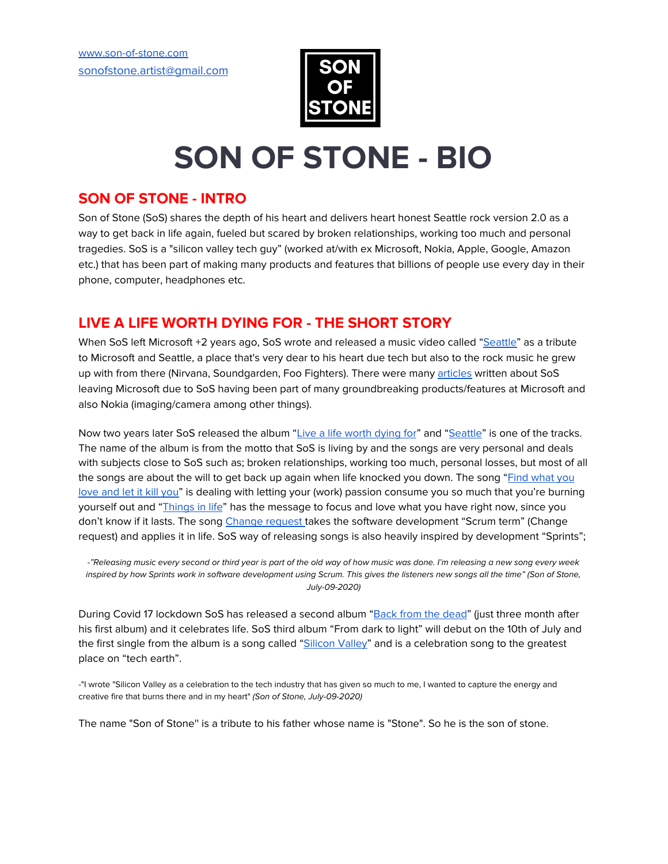

# **SON OF STONE - BIO**

## **SON OF STONE - INTRO**

Son of Stone (SoS) shares the depth of his heart and delivers heart honest Seattle rock version 2.0 as a way to get back in life again, fueled but scared by broken relationships, working too much and personal tragedies. SoS is a "silicon valley tech guy" (worked at/with ex Microsoft, Nokia, Apple, Google, Amazon etc.) that has been part of making many products and features that billions of people use every day in their phone, computer, headphones etc.

# **LIVE A LIFE WORTH DYING FOR - THE SHORT STORY**

When SoS left Microsoft +2 years ago, SoS wrote and released a music video called ["Seattle"](https://youtu.be/x3DnKLCBFOY) as a tribute to Microsoft and Seattle, a place that's very dear to his heart due tech but also to the rock music he grew up with from there (Nirvana, Soundgarden, Foo Fighters). There were many [articles](https://www.geekwire.com/2017/leaving-seattle-song-departing-microsoft-program-manager-pays-video-tribute-northwest/) written about SoS leaving Microsoft due to SoS having been part of many groundbreaking products/features at Microsoft and also Nokia (imaging/camera among other things).

Now two years later SoS released the album "Live a life [worth](https://youtu.be/Amfk0T6kQnk) dying for" and "[Seattle](https://youtu.be/x3DnKLCBFOY)" is one of the tracks. The name of the album is from the motto that SoS is living by and the songs are very personal and deals with subjects close to SoS such as; broken relationships, working too much, personal losses, but most of all the songs are about the will to get back up again when life knocked you down. The song "Find [what](https://www.youtube.com/watch?v=joFkcWIZF7o) you [love](https://www.youtube.com/watch?v=joFkcWIZF7o) and let it kill you" is dealing with letting your (work) passion consume you so much that you're burning yourself out and ["Things](https://youtu.be/Q_R6yRG6rKQ) in life" has the message to focus and love what you have right now, since you don't know if it lasts. The song [Change](https://www.youtube.com/watch?v=aZwBsWhL00Y&list=OLAK5uy_mPa6ugRQo1vghC9UEFkPzq_5hG5FsJKD4) request takes the software development "Scrum term" (Change request) and applies it in life. SoS way of releasing songs is also heavily inspired by development "Sprints";

-"Releasing music every second or third year is part of the old way of how music was done. I'm releasing a new song every week inspired by how Sprints work in software development using Scrum. This gives the listeners new songs all the time" (Son of Stone, July-09-2020)

During Covid 17 lockdown SoS has released a second album "Back from the [dead](https://youtu.be/fmlOdiY7cFM)" (just three month after his first album) and it celebrates life. SoS third album "From dark to light" will debut on the 10th of July and the first single from the album is a song called ["Silicon](https://soundcloud.com/sonofstone_music/silicon-valley/s-VYUkampmOD2) Valley" and is a celebration song to the greatest place on "tech earth".

-"I wrote "Silicon Valley as a celebration to the tech industry that has given so much to me, I wanted to capture the energy and creative fire that burns there and in my heart" (Son of Stone, July-09-2020)

The name "Son of Stone'' is a tribute to his father whose name is "Stone". So he is the son of stone.